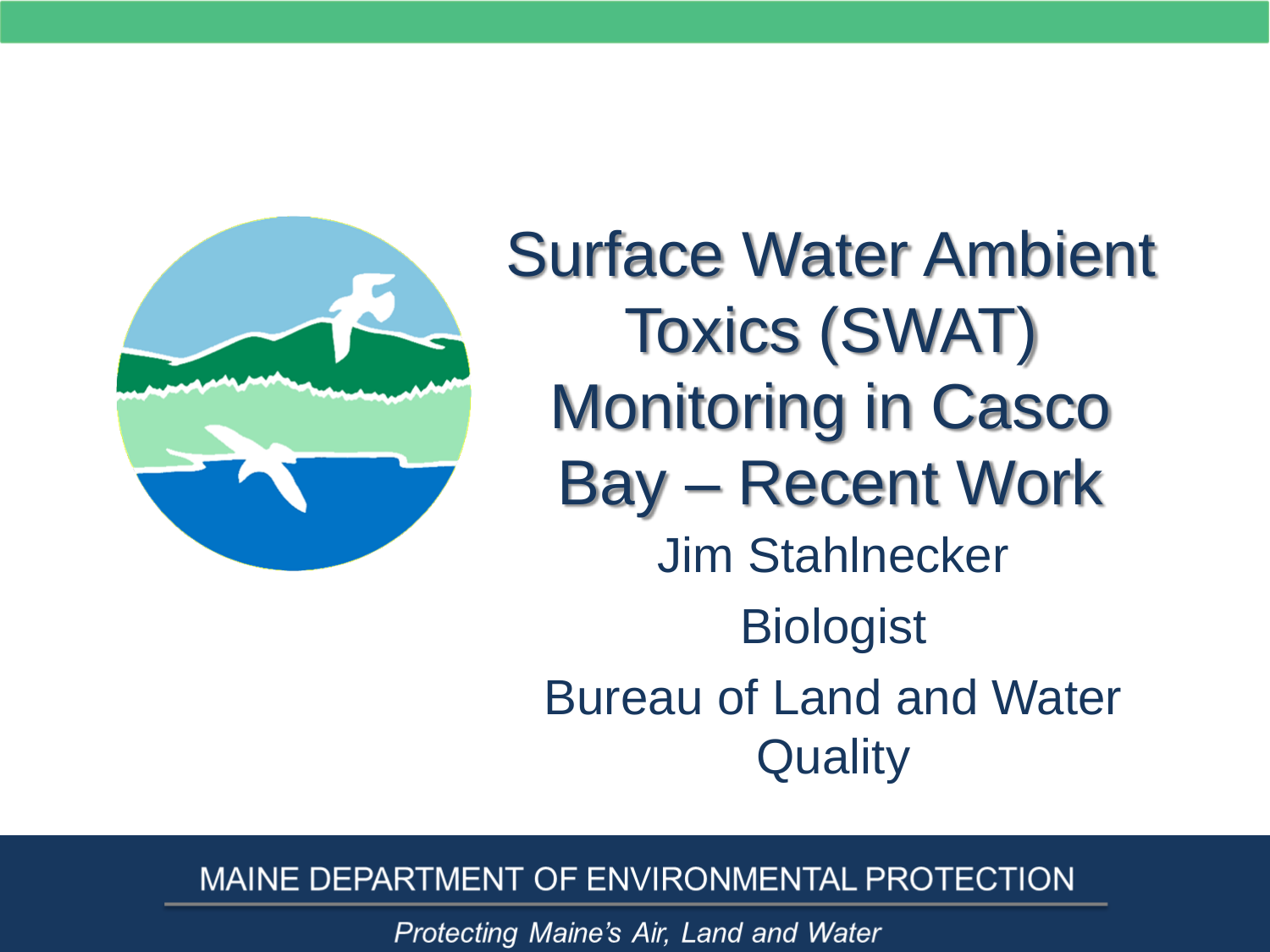

Surface Water Ambient Toxics (SWAT) Monitoring in Casco Bay – Recent Work Jim Stahlnecker **Biologist** Bureau of Land and Water **Quality** 

#### MAINE DEPARTMENT OF ENVIRONMENTAL PROTECTION

Protecting Maine's Air, Land and Water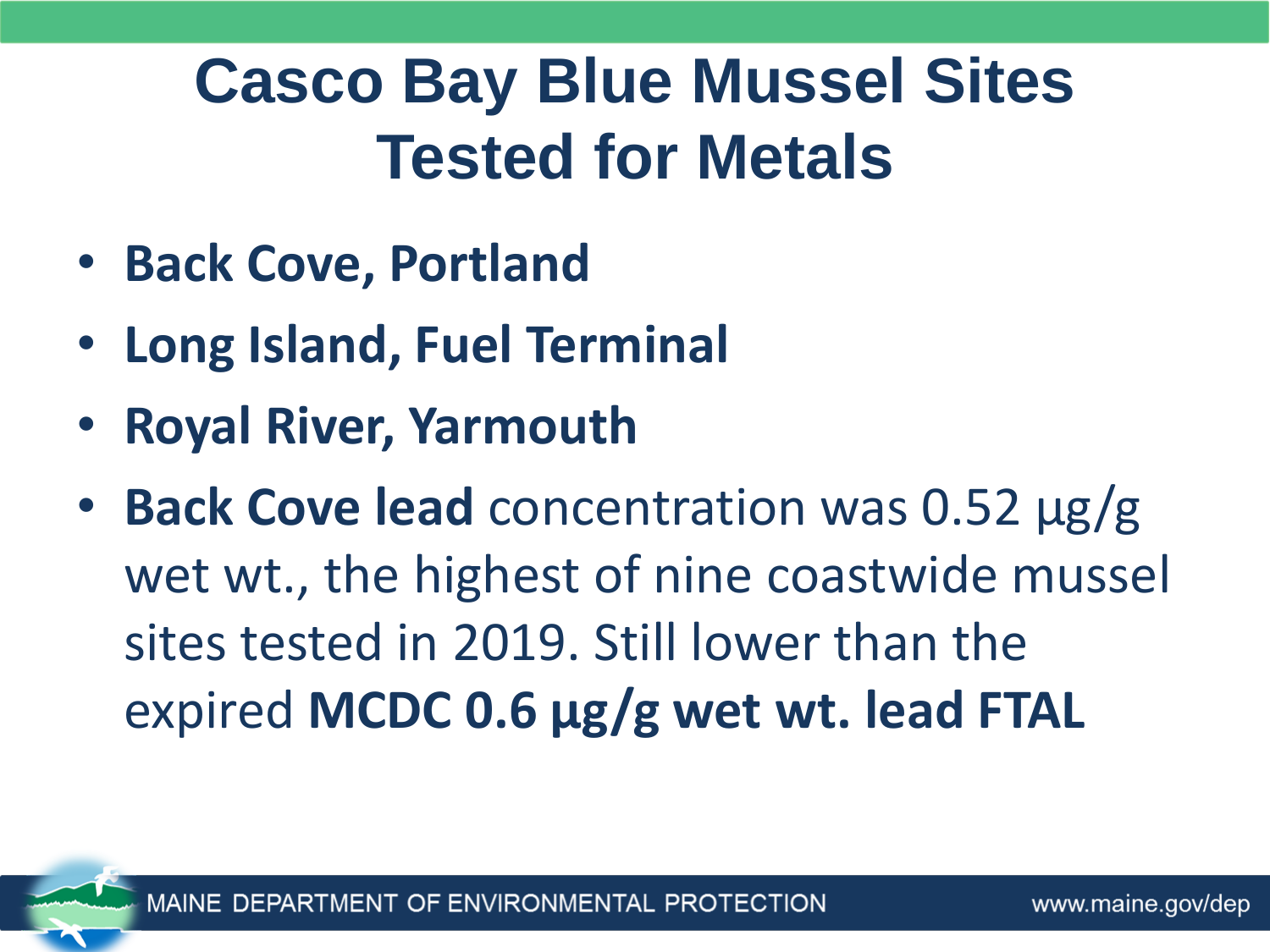### **Casco Bay Blue Mussel Sites Tested for Metals**

- **Back Cove, Portland**
- **Long Island, Fuel Terminal**
- **Royal River, Yarmouth**
- **Back Cove lead** concentration was 0.52 µg/g wet wt., the highest of nine coastwide mussel sites tested in 2019. Still lower than the expired **MCDC 0.6 µg/g wet wt. lead FTAL**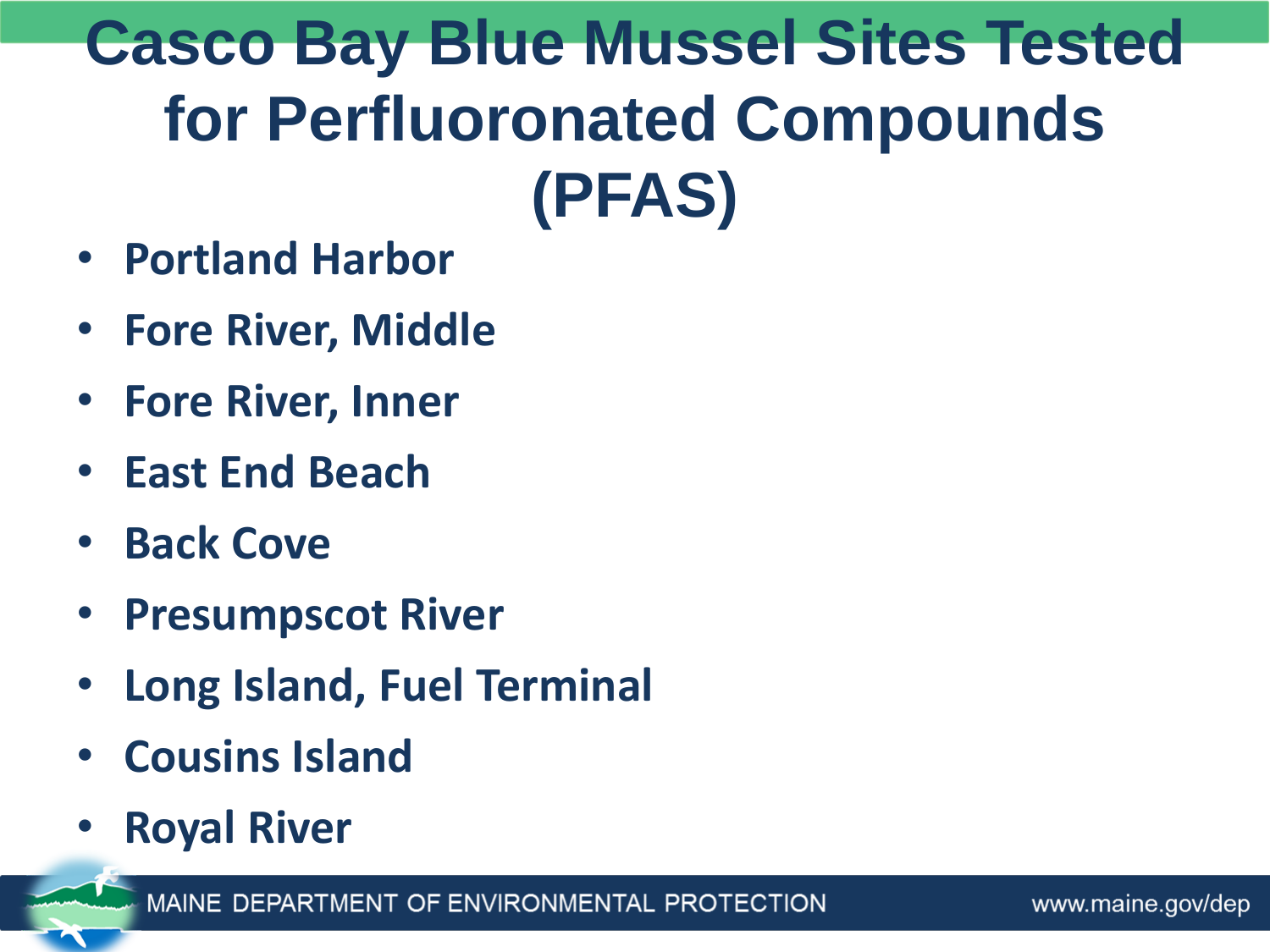#### **Casco Bay Blue Mussel Sites Tested for Perfluoronated Compounds (PFAS)**

- **Portland Harbor**
- **Fore River, Middle**
- **Fore River, Inner**
- **East End Beach**
- **Back Cove**
- **Presumpscot River**
- **Long Island, Fuel Terminal**
- **Cousins Island**
- **Royal River**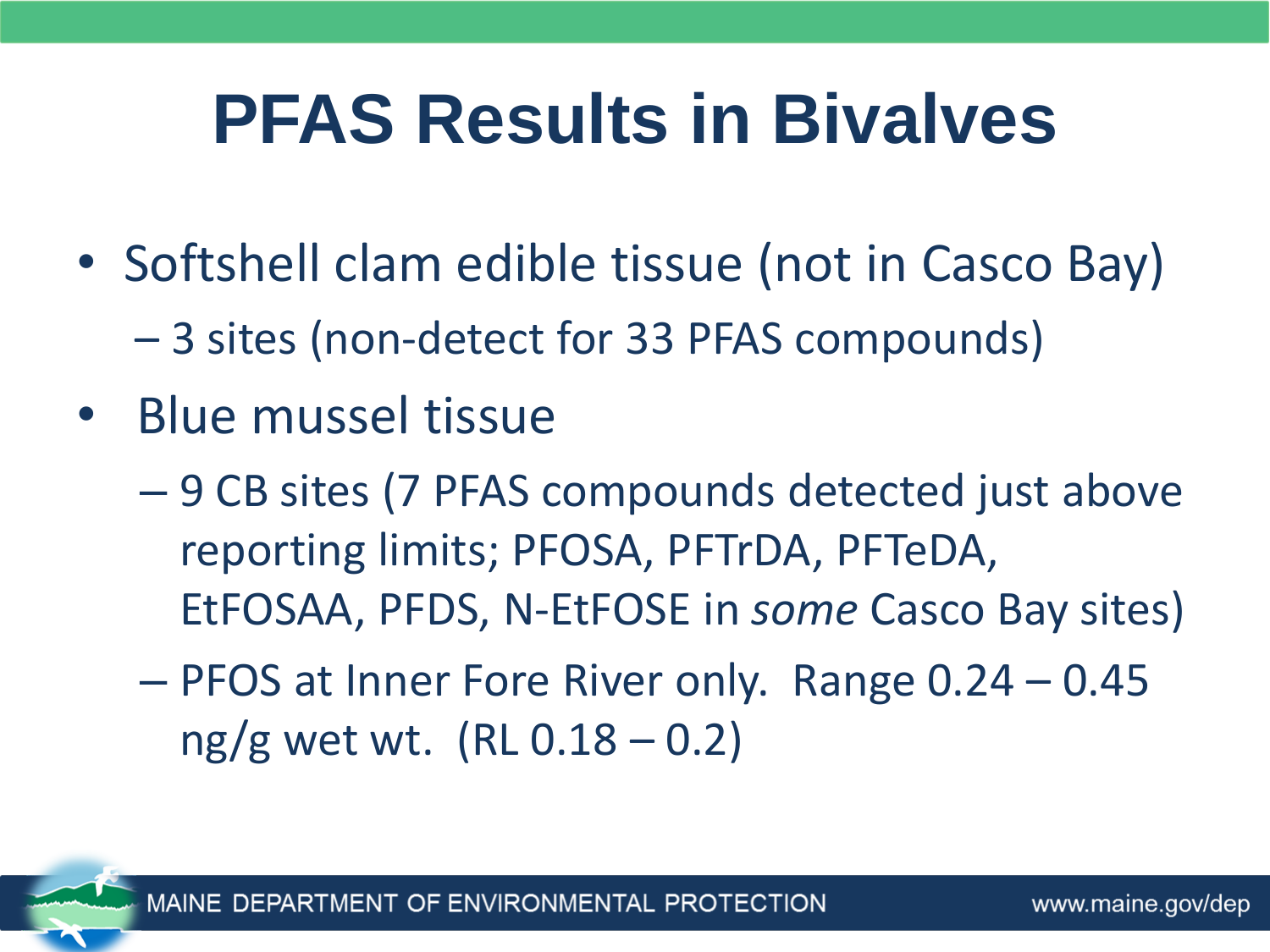## **PFAS Results in Bivalves**

- Softshell clam edible tissue (not in Casco Bay)
	- 3 sites (non-detect for 33 PFAS compounds)
- Blue mussel tissue
	- 9 CB sites (7 PFAS compounds detected just above reporting limits; PFOSA, PFTrDA, PFTeDA, EtFOSAA, PFDS, N-EtFOSE in *some* Casco Bay sites)
	- PFOS at Inner Fore River only. Range 0.24 0.45  $ng/g$  wet wt. (RL 0.18 – 0.2)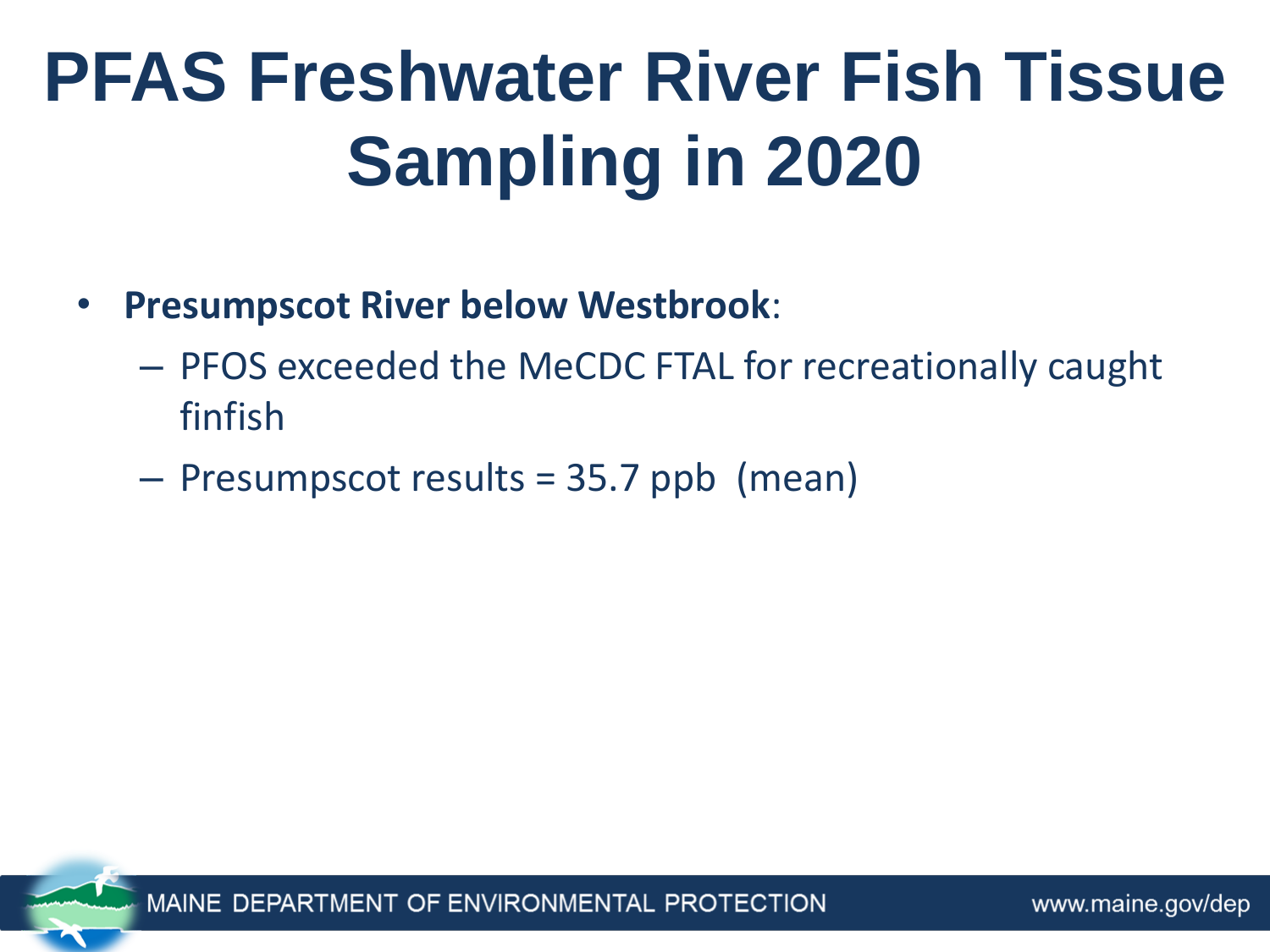# **PFAS Freshwater River Fish Tissue Sampling in 2020**

- **Presumpscot River below Westbrook**:
	- PFOS exceeded the MeCDC FTAL for recreationally caught finfish
	- Presumpscot results = 35.7 ppb (mean)

OF ENVIRONMENTAL PROTECTION **MAINF DFI**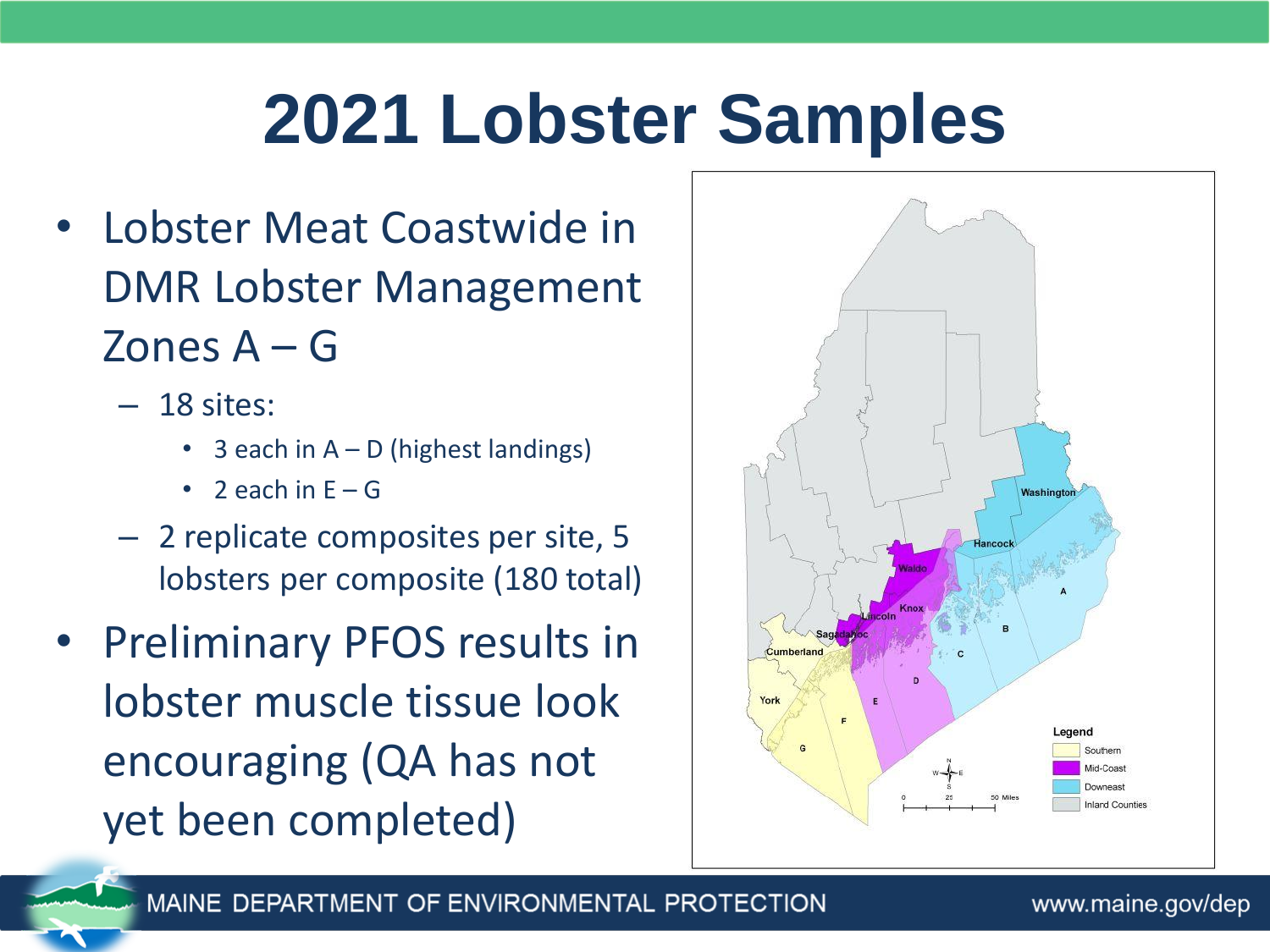# **2021 Lobster Samples**

- Lobster Meat Coastwide in DMR Lobster Management Zones A – G
	- 18 sites:
		- 3 each in  $A D$  (highest landings)
		- 2 each in  $F G$
	- 2 replicate composites per site, 5 lobsters per composite (180 total)
- Preliminary PFOS results in lobster muscle tissue look encouraging (QA has not yet been completed)

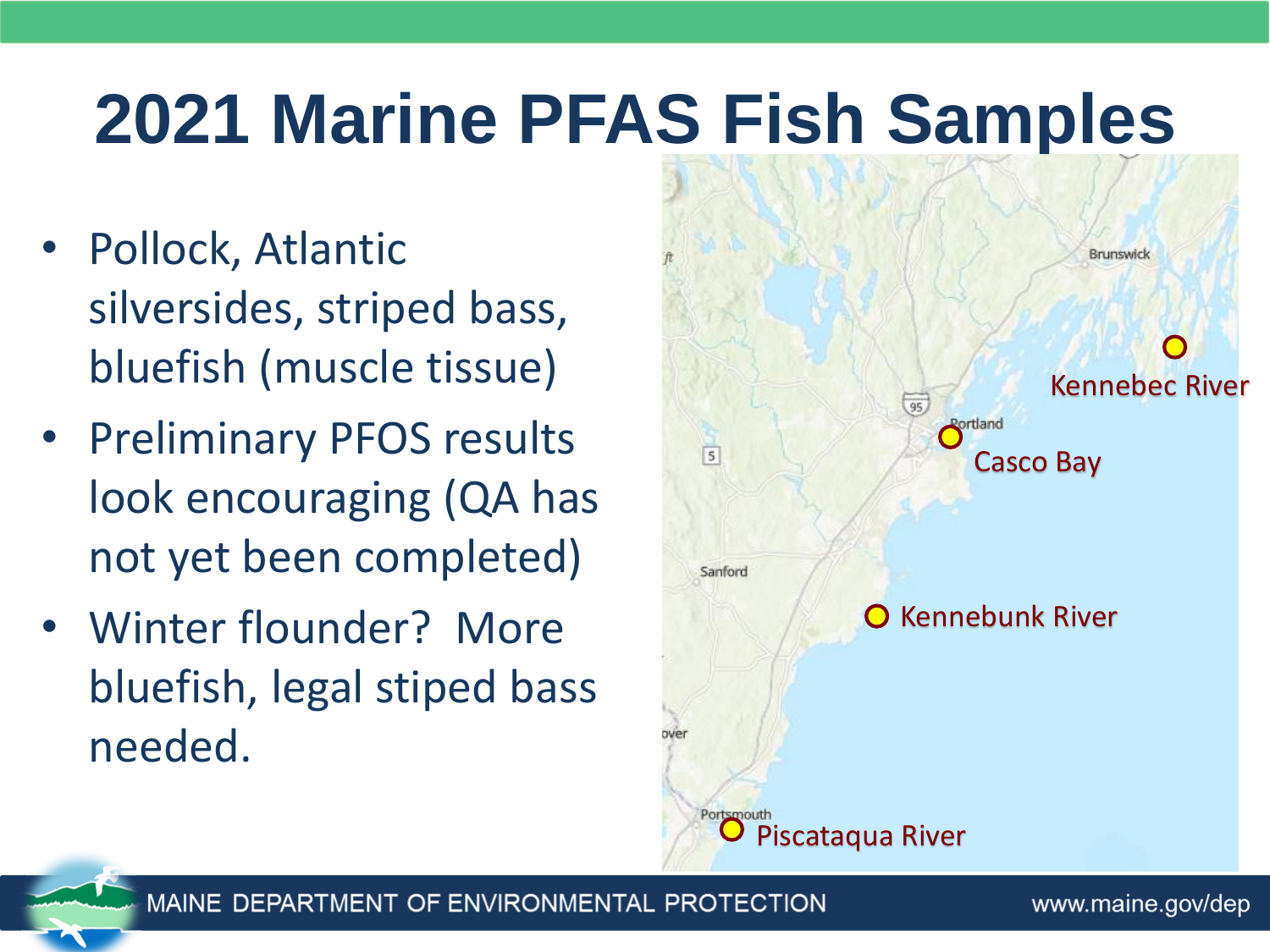# **2021 Marine PFAS Fish Samples**

- Pollock, Atlantic silversides, striped bass, bluefish (muscle tissue)
- Preliminary PFOS results look encouraging (QA has not yet been completed)
- Winter flounder? More bluefish, legal stiped bass needed.



MAINE DEPARTMENT OF ENVIRONMENTAL PROTECTION

www.maine.gov/dep